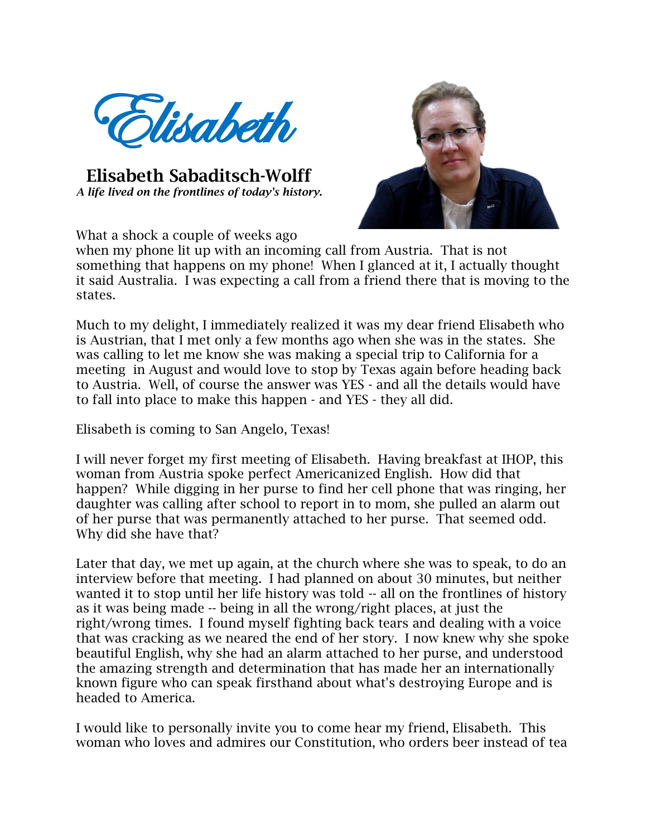

 **Elisabeth Sabaditsch-Wolff** *A life lived on the frontlines of today's history.* 



What a shock a couple of weeks ago

when my phone lit up with an incoming call from Austria. That is not something that happens on my phone! When I glanced at it, I actually thought it said Australia. I was expecting a call from a friend there that is moving to the states.

Much to my delight, I immediately realized it was my dear friend Elisabeth who is Austrian, that I met only a few months ago when she was in the states. She was calling to let me know she was making a special trip to California for a meeting in August and would love to stop by Texas again before heading back to Austria. Well, of course the answer was YES - and all the details would have to fall into place to make this happen - and YES - they all did.

Elisabeth is coming to San Angelo, Texas!

I will never forget my first meeting of Elisabeth. Having breakfast at IHOP, this woman from Austria spoke perfect Americanized English. How did that happen? While digging in her purse to find her cell phone that was ringing, her daughter was calling after school to report in to mom, she pulled an alarm out of her purse that was permanently attached to her purse. That seemed odd. Why did she have that?

Later that day, we met up again, at the church where she was to speak, to do an interview before that meeting. I had planned on about 30 minutes, but neither wanted it to stop until her life history was told -- all on the frontlines of history as it was being made -- being in all the wrong/right places, at just the right/wrong times. I found myself fighting back tears and dealing with a voice that was cracking as we neared the end of her story. I now knew why she spoke beautiful English, why she had an alarm attached to her purse, and understood the amazing strength and determination that has made her an internationally known figure who can speak firsthand about what's destroying Europe and is headed to America.

I would like to personally invite you to come hear my friend, Elisabeth. This woman who loves and admires our Constitution, who orders beer instead of tea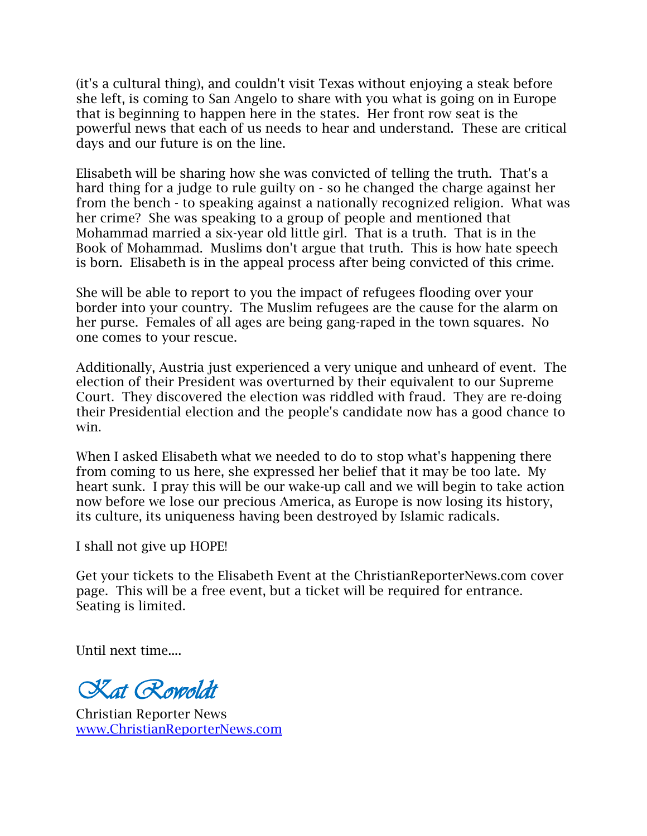(it's a cultural thing), and couldn't visit Texas without enjoying a steak before she left, is coming to San Angelo to share with you what is going on in Europe that is beginning to happen here in the states. Her front row seat is the powerful news that each of us needs to hear and understand. These are critical days and our future is on the line.

Elisabeth will be sharing how she was convicted of telling the truth. That's a hard thing for a judge to rule guilty on - so he changed the charge against her from the bench - to speaking against a nationally recognized religion. What was her crime? She was speaking to a group of people and mentioned that Mohammad married a six-year old little girl. That is a truth. That is in the Book of Mohammad. Muslims don't argue that truth. This is how hate speech is born. Elisabeth is in the appeal process after being convicted of this crime.

She will be able to report to you the impact of refugees flooding over your border into your country. The Muslim refugees are the cause for the alarm on her purse. Females of all ages are being gang-raped in the town squares. No one comes to your rescue.

Additionally, Austria just experienced a very unique and unheard of event. The election of their President was overturned by their equivalent to our Supreme Court. They discovered the election was riddled with fraud. They are re-doing their Presidential election and the people's candidate now has a good chance to win.

When I asked Elisabeth what we needed to do to stop what's happening there from coming to us here, she expressed her belief that it may be too late. My heart sunk. I pray this will be our wake-up call and we will begin to take action now before we lose our precious America, as Europe is now losing its history, its culture, its uniqueness having been destroyed by Islamic radicals.

I shall not give up HOPE!

Get your tickets to the Elisabeth Event at the ChristianReporterNews.com cover page. This will be a free event, but a ticket will be required for entrance. Seating is limited.

Until next time....

*Kat Rowoldt*

Christian Reporter News www.ChristianReporterNews.com